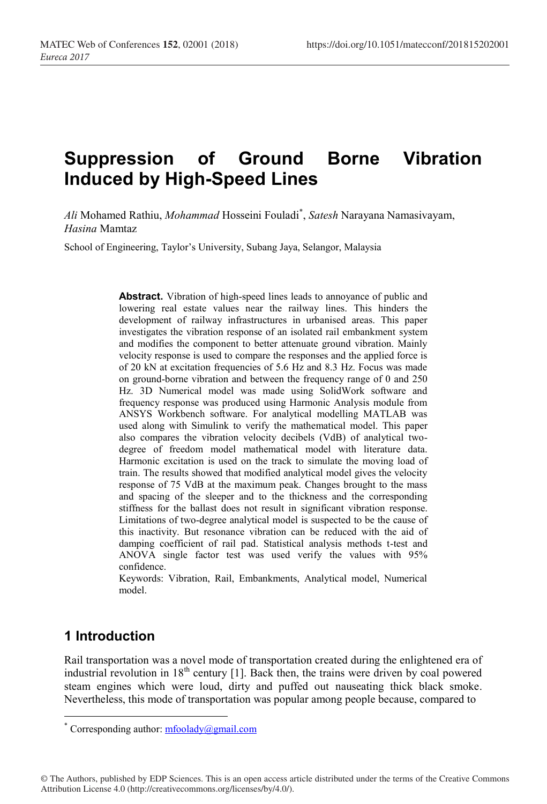# **Suppression of Ground Borne Vibration Induced by High-Speed Lines**

*Ali* Mohamed Rathiu, *Mohammad* Hosseini Fouladi\* , *Satesh* Narayana Namasivayam, *Hasina* Mamtaz

School of Engineering, Taylor's University, Subang Jaya, Selangor, Malaysia

**Abstract.** Vibration of high-speed lines leads to annoyance of public and lowering real estate values near the railway lines. This hinders the development of railway infrastructures in urbanised areas. This paper investigates the vibration response of an isolated rail embankment system and modifies the component to better attenuate ground vibration. Mainly velocity response is used to compare the responses and the applied force is of 20 kN at excitation frequencies of 5.6 Hz and 8.3 Hz. Focus was made on ground-borne vibration and between the frequency range of 0 and 250 Hz. 3D Numerical model was made using SolidWork software and frequency response was produced using Harmonic Analysis module from ANSYS Workbench software. For analytical modelling MATLAB was used along with Simulink to verify the mathematical model. This paper also compares the vibration velocity decibels (VdB) of analytical twodegree of freedom model mathematical model with literature data. Harmonic excitation is used on the track to simulate the moving load of train. The results showed that modified analytical model gives the velocity response of 75 VdB at the maximum peak. Changes brought to the mass and spacing of the sleeper and to the thickness and the corresponding stiffness for the ballast does not result in significant vibration response. Limitations of two-degree analytical model is suspected to be the cause of this inactivity. But resonance vibration can be reduced with the aid of damping coefficient of rail pad. Statistical analysis methods t-test and ANOVA single factor test was used verify the values with 95% confidence.

Keywords: Vibration, Rail, Embankments, Analytical model, Numerical model.

# **1 Introduction**

Rail transportation was a novel mode of transportation created during the enlightened era of industrial revolution in  $18<sup>th</sup>$  century [1]. Back then, the trains were driven by coal powered steam engines which were loud, dirty and puffed out nauseating thick black smoke. Nevertheless, this mode of transportation was popular among people because, compared to

© The Authors, published by EDP Sciences. This is an open access article distributed under the terms of the Creative Commons Attribution License 4.0 (http://creativecommons.org/licenses/by/4.0/).

<sup>\*</sup> Corresponding author:  $m$ foolady@gmail.com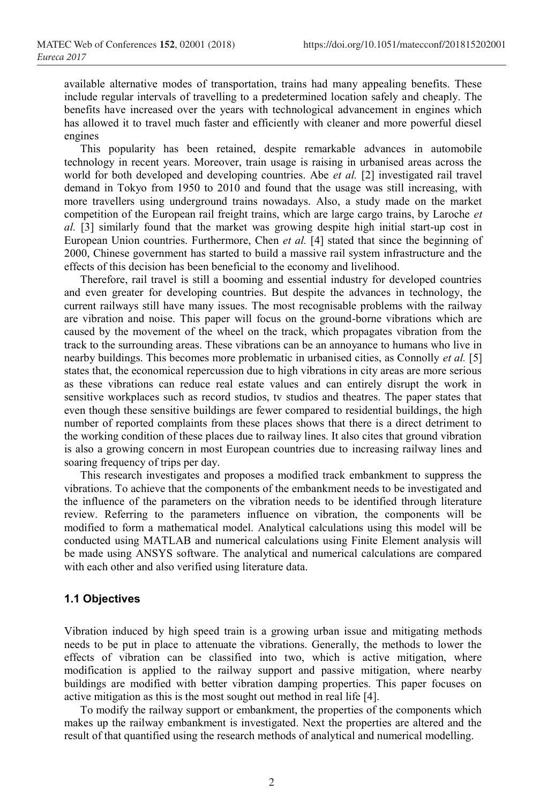available alternative modes of transportation, trains had many appealing benefits. These include regular intervals of travelling to a predetermined location safely and cheaply. The benefits have increased over the years with technological advancement in engines which has allowed it to travel much faster and efficiently with cleaner and more powerful diesel engines

This popularity has been retained, despite remarkable advances in automobile technology in recent years. Moreover, train usage is raising in urbanised areas across the world for both developed and developing countries. Abe *et al.* [2] investigated rail travel demand in Tokyo from 1950 to 2010 and found that the usage was still increasing, with more travellers using underground trains nowadays. Also, a study made on the market competition of the European rail freight trains, which are large cargo trains, by Laroche *et al.* [3] similarly found that the market was growing despite high initial start-up cost in European Union countries. Furthermore, Chen *et al.* [4] stated that since the beginning of 2000, Chinese government has started to build a massive rail system infrastructure and the effects of this decision has been beneficial to the economy and livelihood.

Therefore, rail travel is still a booming and essential industry for developed countries and even greater for developing countries. But despite the advances in technology, the current railways still have many issues. The most recognisable problems with the railway are vibration and noise. This paper will focus on the ground-borne vibrations which are caused by the movement of the wheel on the track, which propagates vibration from the track to the surrounding areas. These vibrations can be an annoyance to humans who live in nearby buildings. This becomes more problematic in urbanised cities, as Connolly *et al.* [5] states that, the economical repercussion due to high vibrations in city areas are more serious as these vibrations can reduce real estate values and can entirely disrupt the work in sensitive workplaces such as record studios, tv studios and theatres. The paper states that even though these sensitive buildings are fewer compared to residential buildings, the high number of reported complaints from these places shows that there is a direct detriment to the working condition of these places due to railway lines. It also cites that ground vibration is also a growing concern in most European countries due to increasing railway lines and soaring frequency of trips per day.

This research investigates and proposes a modified track embankment to suppress the vibrations. To achieve that the components of the embankment needs to be investigated and the influence of the parameters on the vibration needs to be identified through literature review. Referring to the parameters influence on vibration, the components will be modified to form a mathematical model. Analytical calculations using this model will be conducted using MATLAB and numerical calculations using Finite Element analysis will be made using ANSYS software. The analytical and numerical calculations are compared with each other and also verified using literature data.

## **1.1 Objectives**

Vibration induced by high speed train is a growing urban issue and mitigating methods needs to be put in place to attenuate the vibrations. Generally, the methods to lower the effects of vibration can be classified into two, which is active mitigation, where modification is applied to the railway support and passive mitigation, where nearby buildings are modified with better vibration damping properties. This paper focuses on active mitigation as this is the most sought out method in real life [4].

To modify the railway support or embankment, the properties of the components which makes up the railway embankment is investigated. Next the properties are altered and the result of that quantified using the research methods of analytical and numerical modelling.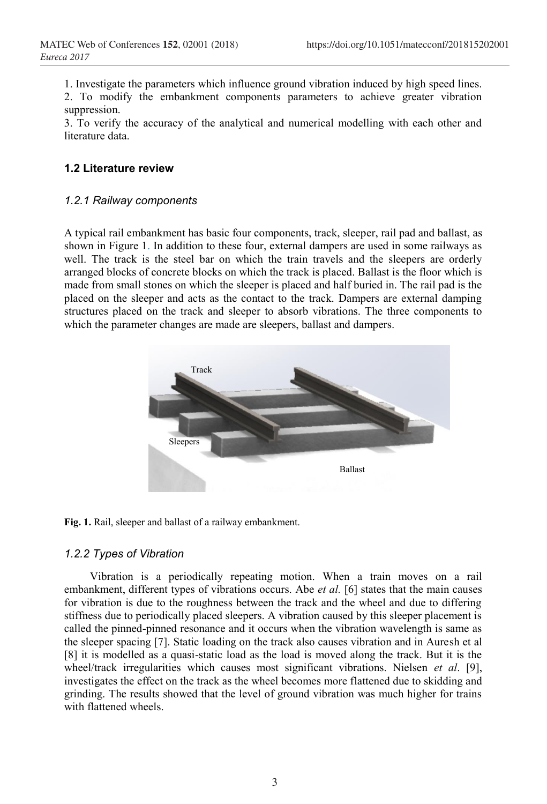1. Investigate the parameters which influence ground vibration induced by high speed lines.

2. To modify the embankment components parameters to achieve greater vibration suppression.

3. To verify the accuracy of the analytical and numerical modelling with each other and literature data.

# **1.2 Literature review**

## *1.2.1 Railway components*

A typical rail embankment has basic four components, track, sleeper, rail pad and ballast, as shown in Figure 1. In addition to these four, external dampers are used in some railways as well. The track is the steel bar on which the train travels and the sleepers are orderly arranged blocks of concrete blocks on which the track is placed. Ballast is the floor which is made from small stones on which the sleeper is placed and half buried in. The rail pad is the placed on the sleeper and acts as the contact to the track. Dampers are external damping structures placed on the track and sleeper to absorb vibrations. The three components to which the parameter changes are made are sleepers, ballast and dampers.



**Fig. 1.** Rail, sleeper and ballast of a railway embankment.

# *1.2.2 Types of Vibration*

Vibration is a periodically repeating motion. When a train moves on a rail embankment, different types of vibrations occurs. Abe *et al.* [6] states that the main causes for vibration is due to the roughness between the track and the wheel and due to differing stiffness due to periodically placed sleepers. A vibration caused by this sleeper placement is called the pinned-pinned resonance and it occurs when the vibration wavelength is same as the sleeper spacing [7]. Static loading on the track also causes vibration and in Auresh et al [8] it is modelled as a quasi-static load as the load is moved along the track. But it is the wheel/track irregularities which causes most significant vibrations. Nielsen *et al*. [9], investigates the effect on the track as the wheel becomes more flattened due to skidding and grinding. The results showed that the level of ground vibration was much higher for trains with flattened wheels.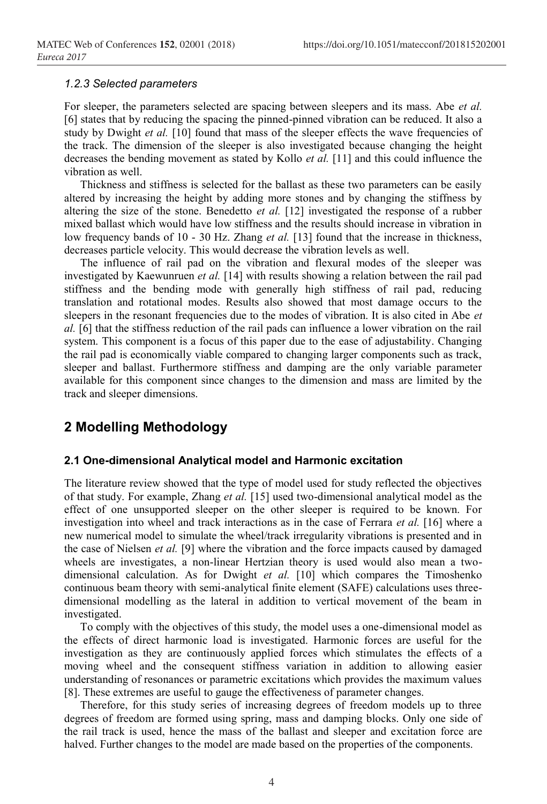#### *1.2.3 Selected parameters*

For sleeper, the parameters selected are spacing between sleepers and its mass. Abe *et al.* [6] states that by reducing the spacing the pinned-pinned vibration can be reduced. It also a study by Dwight et al. [10] found that mass of the sleeper effects the wave frequencies of the track. The dimension of the sleeper is also investigated because changing the height decreases the bending movement as stated by Kollo *et al.* [11] and this could influence the vibration as well.

Thickness and stiffness is selected for the ballast as these two parameters can be easily altered by increasing the height by adding more stones and by changing the stiffness by altering the size of the stone. Benedetto *et al.* [12] investigated the response of a rubber mixed ballast which would have low stiffness and the results should increase in vibration in low frequency bands of 10 - 30 Hz. Zhang *et al.* [13] found that the increase in thickness, decreases particle velocity. This would decrease the vibration levels as well.

The influence of rail pad on the vibration and flexural modes of the sleeper was investigated by Kaewunruen *et al.* [14] with results showing a relation between the rail pad stiffness and the bending mode with generally high stiffness of rail pad, reducing translation and rotational modes. Results also showed that most damage occurs to the sleepers in the resonant frequencies due to the modes of vibration. It is also cited in Abe *et al.* [6] that the stiffness reduction of the rail pads can influence a lower vibration on the rail system. This component is a focus of this paper due to the ease of adjustability. Changing the rail pad is economically viable compared to changing larger components such as track, sleeper and ballast. Furthermore stiffness and damping are the only variable parameter available for this component since changes to the dimension and mass are limited by the track and sleeper dimensions.

# **2 Modelling Methodology**

#### **2.1 One-dimensional Analytical model and Harmonic excitation**

The literature review showed that the type of model used for study reflected the objectives of that study. For example, Zhang *et al.* [15] used two-dimensional analytical model as the effect of one unsupported sleeper on the other sleeper is required to be known. For investigation into wheel and track interactions as in the case of Ferrara *et al.* [16] where a new numerical model to simulate the wheel/track irregularity vibrations is presented and in the case of Nielsen *et al.* [9] where the vibration and the force impacts caused by damaged wheels are investigates, a non-linear Hertzian theory is used would also mean a twodimensional calculation. As for Dwight *et al.* [10] which compares the Timoshenko continuous beam theory with semi-analytical finite element (SAFE) calculations uses threedimensional modelling as the lateral in addition to vertical movement of the beam in investigated.

To comply with the objectives of this study, the model uses a one-dimensional model as the effects of direct harmonic load is investigated. Harmonic forces are useful for the investigation as they are continuously applied forces which stimulates the effects of a moving wheel and the consequent stiffness variation in addition to allowing easier understanding of resonances or parametric excitations which provides the maximum values [8]. These extremes are useful to gauge the effectiveness of parameter changes.

Therefore, for this study series of increasing degrees of freedom models up to three degrees of freedom are formed using spring, mass and damping blocks. Only one side of the rail track is used, hence the mass of the ballast and sleeper and excitation force are halved. Further changes to the model are made based on the properties of the components.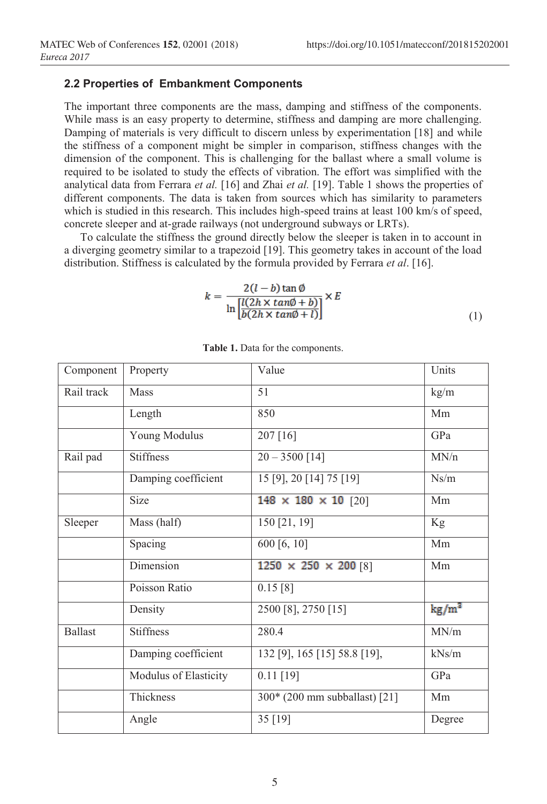## **2.2 Properties of Embankment Components**

The important three components are the mass, damping and stiffness of the components. While mass is an easy property to determine, stiffness and damping are more challenging. Damping of materials is very difficult to discern unless by experimentation [18] and while the stiffness of a component might be simpler in comparison, stiffness changes with the dimension of the component. This is challenging for the ballast where a small volume is required to be isolated to study the effects of vibration. The effort was simplified with the analytical data from Ferrara *et al.* [16] and Zhai *et al.* [19]. Table 1 shows the properties of different components. The data is taken from sources which has similarity to parameters which is studied in this research. This includes high-speed trains at least 100 km/s of speed, concrete sleeper and at-grade railways (not underground subways or LRTs).

To calculate the stiffness the ground directly below the sleeper is taken in to account in a diverging geometry similar to a trapezoid [19]. This geometry takes in account of the load distribution. Stiffness is calculated by the formula provided by Ferrara *et al*. [16].

$$
k = \frac{2(l-b)\tan\phi}{\ln\left[\frac{l(2h \times \tan\phi + b)}{b(2h \times \tan\phi + l)}\right]} \times E
$$
\n(1)

| Component      | Property              | Value                             | Units           |
|----------------|-----------------------|-----------------------------------|-----------------|
| Rail track     | Mass                  | 51                                | kg/m            |
|                | Length                | 850                               | Mm              |
|                | Young Modulus         | 207 [16]                          | GPa             |
| Rail pad       | <b>Stiffness</b>      | $20 - 3500$ [14]                  | MN/n            |
|                | Damping coefficient   | 15 [9], 20 [14] 75 [19]           | Ns/m            |
|                | <b>Size</b>           | 148 $\times$ 180 $\times$ 10 [20] | Mm              |
| Sleeper        | Mass (half)           | 150 [21, 19]                      | Kg              |
|                | Spacing               | $\overline{600}$ [6, 10]          | Mm              |
|                | Dimension             | $1250 \times 250 \times 200$ [8]  | Mm              |
|                | Poisson Ratio         | 0.15 [8]                          |                 |
|                | Density               | 2500 [8], 2750 [15]               | $\text{kg/m}^2$ |
| <b>Ballast</b> | <b>Stiffness</b>      | 280.4                             | MN/m            |
|                | Damping coefficient   | 132 [9], 165 [15] 58.8 [19],      | kNs/m           |
|                | Modulus of Elasticity | $0.11$ [19]                       | GPa             |
|                | Thickness             | 300* (200 mm subballast) [21]     | Mm              |
|                | Angle                 | 35 [19]                           | Degree          |

**Table 1.** Data for the components.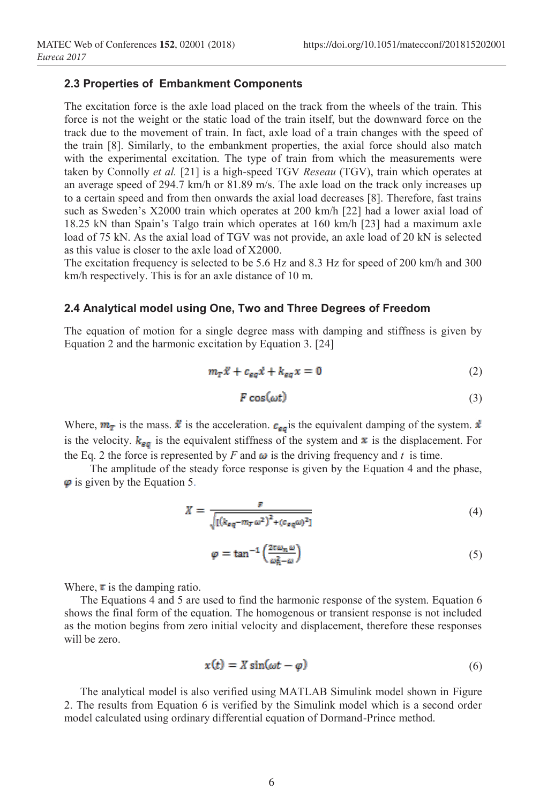## **2.3 Properties of Embankment Components**

The excitation force is the axle load placed on the track from the wheels of the train. This force is not the weight or the static load of the train itself, but the downward force on the track due to the movement of train. In fact, axle load of a train changes with the speed of the train [8]. Similarly, to the embankment properties, the axial force should also match with the experimental excitation. The type of train from which the measurements were taken by Connolly *et al.* [21] is a high-speed TGV *Reseau* (TGV), train which operates at an average speed of 294.7 km/h or 81.89 m/s. The axle load on the track only increases up to a certain speed and from then onwards the axial load decreases [8]. Therefore, fast trains such as Sweden's X2000 train which operates at 200 km/h [22] had a lower axial load of 18.25 kN than Spain's Talgo train which operates at 160 km/h [23] had a maximum axle load of 75 kN. As the axial load of TGV was not provide, an axle load of 20 kN is selected as this value is closer to the axle load of X2000.

The excitation frequency is selected to be 5.6 Hz and 8.3 Hz for speed of 200 km/h and 300 km/h respectively. This is for an axle distance of 10 m.

### **2.4 Analytical model using One, Two and Three Degrees of Freedom**

The equation of motion for a single degree mass with damping and stiffness is given by Equation 2 and the harmonic excitation by Equation 3. [24]

$$
m_T \ddot{x} + c_{\varepsilon q} \dot{x} + k_{\varepsilon q} x = 0 \tag{2}
$$

$$
F\cos(\omega t) \tag{3}
$$

Where,  $m_T$  is the mass.  $\vec{x}$  is the acceleration.  $c_{\epsilon\sigma}$  is the equivalent damping of the system.  $\vec{x}$ is the velocity.  $k_{\text{eff}}$  is the equivalent stiffness of the system and  $\bar{x}$  is the displacement. For the Eq. 2 the force is represented by *F* and  $\omega$  is the driving frequency and *t* is time.

The amplitude of the steady force response is given by the Equation 4 and the phase,  $\varphi$  is given by the Equation 5.

$$
X = \frac{F}{\sqrt{\left[\left(k_{eq} - m_T \omega^2\right)^2 + (c_{eq} \omega)^2\right]}}\tag{4}
$$

$$
\varphi = \tan^{-1}\left(\frac{2\pi\omega_n\omega}{\omega_n^2 - \omega}\right) \tag{5}
$$

Where,  $\tau$  is the damping ratio.

The Equations 4 and 5 are used to find the harmonic response of the system. Equation 6 shows the final form of the equation. The homogenous or transient response is not included as the motion begins from zero initial velocity and displacement, therefore these responses will be zero.

$$
x(t) = X \sin(\omega t - \varphi) \tag{6}
$$

The analytical model is also verified using MATLAB Simulink model shown in Figure 2. The results from Equation 6 is verified by the Simulink model which is a second order model calculated using ordinary differential equation of Dormand-Prince method.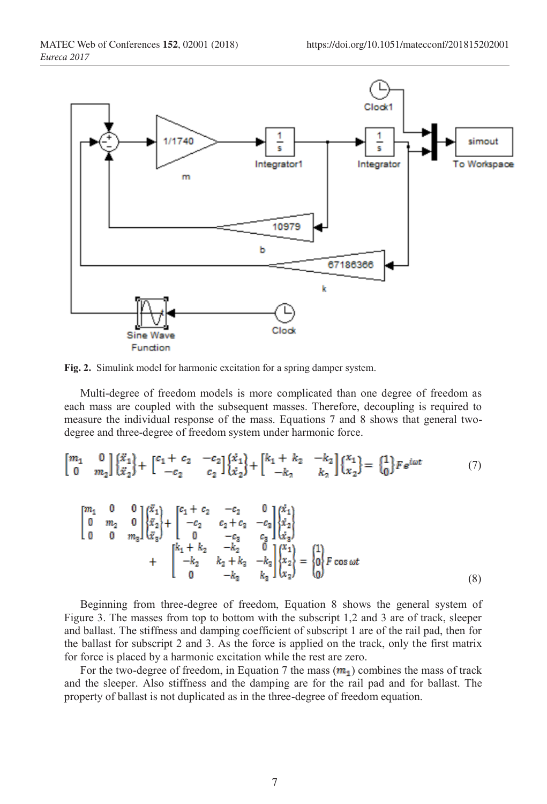

**Fig. 2.** Simulink model for harmonic excitation for a spring damper system.

Multi-degree of freedom models is more complicated than one degree of freedom as each mass are coupled with the subsequent masses. Therefore, decoupling is required to measure the individual response of the mass. Equations 7 and 8 shows that general twodegree and three-degree of freedom system under harmonic force.

$$
\begin{bmatrix} m_1 & 0 \ 0 & m_2 \end{bmatrix} \begin{Bmatrix} \ddot{x}_1 \\ \ddot{x}_2 \end{Bmatrix} + \begin{bmatrix} c_1 + c_2 & -c_2 \\ -c_2 & c_2 \end{bmatrix} \begin{Bmatrix} \dot{x}_1 \\ \dot{x}_2 \end{Bmatrix} + \begin{bmatrix} k_1 + k_2 & -k_2 \\ -k_2 & k_2 \end{bmatrix} \begin{Bmatrix} x_1 \\ x_2 \end{Bmatrix} = \begin{Bmatrix} 1 \\ 0 \end{Bmatrix} F e^{i\omega t} \tag{7}
$$

$$
\begin{bmatrix} m_1 & 0 & 0 \ 0 & m_2 & 0 \ 0 & 0 & m_3 \end{bmatrix} \begin{Bmatrix} \ddot{x}_1 \\ \ddot{x}_2 \\ \ddot{x}_3 \end{Bmatrix} + \begin{bmatrix} c_1 + c_2 & -c_2 & 0 \ -c_2 & c_2 + c_3 & -c_3 \ 0 & -c_3 & c_3 \ 0 & -c_4 & 0 \ 0 & -k_2 & 0 & k_3 \end{bmatrix} \begin{Bmatrix} \dot{x}_1 \\ \dot{x}_2 \\ \dot{x}_3 \end{Bmatrix} + \begin{bmatrix} k_1 + k_2 & -k_2 & 0 \ -k_2 & k_2 + k_3 & -k_3 \ 0 & -k_3 & k_3 \end{bmatrix} \begin{Bmatrix} x_1 \\ x_2 \\ x_3 \end{Bmatrix} = \begin{Bmatrix} 1 \\ 0 \\ 0 \end{Bmatrix} F \cos \omega t \tag{8}
$$

Beginning from three-degree of freedom, Equation 8 shows the general system of Figure 3. The masses from top to bottom with the subscript 1,2 and 3 are of track, sleeper and ballast. The stiffness and damping coefficient of subscript 1 are of the rail pad, then for the ballast for subscript 2 and 3. As the force is applied on the track, only the first matrix for force is placed by a harmonic excitation while the rest are zero.

For the two-degree of freedom, in Equation 7 the mass  $(m_1)$  combines the mass of track and the sleeper. Also stiffness and the damping are for the rail pad and for ballast. The property of ballast is not duplicated as in the three-degree of freedom equation.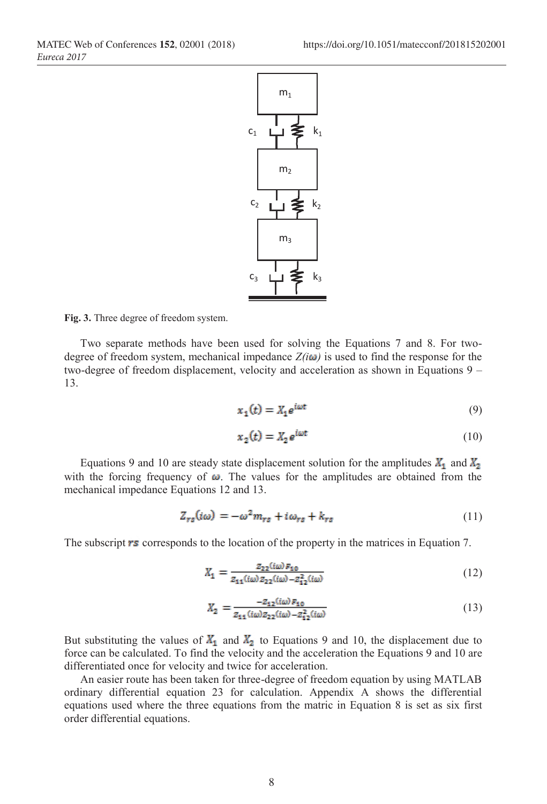

**Fig. 3.** Three degree of freedom system.

Two separate methods have been used for solving the Equations 7 and 8. For twodegree of freedom system, mechanical impedance  $Z(i\omega)$  is used to find the response for the two-degree of freedom displacement, velocity and acceleration as shown in Equations 9 – 13.

$$
x_1(t) = X_1 e^{i\omega t} \tag{9}
$$

$$
x_2(t) = X_2 e^{i\omega t} \tag{10}
$$

Equations 9 and 10 are steady state displacement solution for the amplitudes  $X_1$  and  $X_2$ with the forcing frequency of  $\omega$ . The values for the amplitudes are obtained from the mechanical impedance Equations 12 and 13.

$$
Z_{rs}(i\omega) = -\omega^2 m_{rs} + i\omega_{rs} + k_{rs}
$$
\n(11)

The subscript  $\mathbf{r}$  s corresponds to the location of the property in the matrices in Equation 7.

$$
X_1 = \frac{z_{22}(i\omega) \, r_{10}}{z_{11}(i\omega) \, z_{22}(i\omega) - z_{12}^2(i\omega)}\tag{12}
$$

$$
X_2 = \frac{-z_{12}(i\omega) P_{10}}{z_{11}(i\omega) z_{22}(i\omega) - z_{12}^2(i\omega)}\tag{13}
$$

But substituting the values of  $\mathbb{X}_1$  and  $\mathbb{X}_2$  to Equations 9 and 10, the displacement due to force can be calculated. To find the velocity and the acceleration the Equations 9 and 10 are differentiated once for velocity and twice for acceleration.

An easier route has been taken for three-degree of freedom equation by using MATLAB ordinary differential equation 23 for calculation. Appendix A shows the differential equations used where the three equations from the matric in Equation 8 is set as six first order differential equations.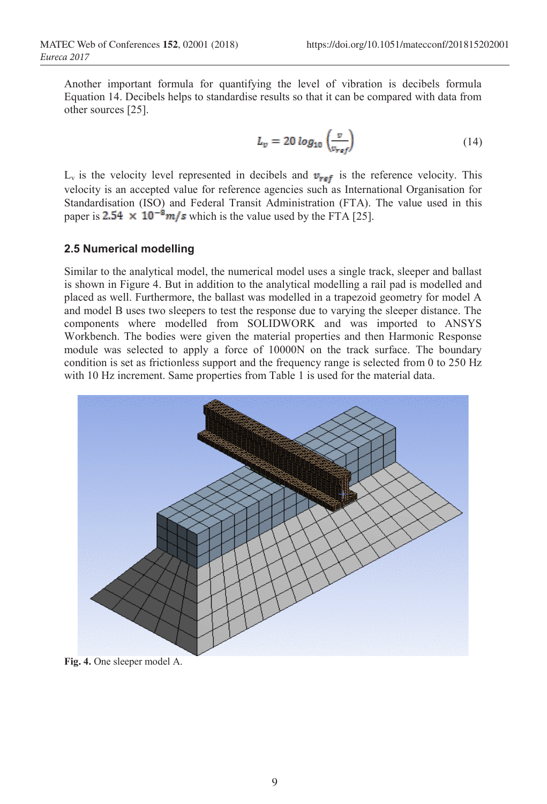Another important formula for quantifying the level of vibration is decibels formula Equation 14. Decibels helps to standardise results so that it can be compared with data from other sources [25].

$$
L_v = 20 \log_{10} \left( \frac{v}{v_{ref}} \right) \tag{14}
$$

 $L_v$  is the velocity level represented in decibels and  $v_{ref}$  is the reference velocity. This velocity is an accepted value for reference agencies such as International Organisation for Standardisation (ISO) and Federal Transit Administration (FTA). The value used in this paper is 2.54  $\times$  10<sup>-8</sup>*m/s* which is the value used by the FTA [25].

## **2.5 Numerical modelling**

Similar to the analytical model, the numerical model uses a single track, sleeper and ballast is shown in Figure 4. But in addition to the analytical modelling a rail pad is modelled and placed as well. Furthermore, the ballast was modelled in a trapezoid geometry for model A and model B uses two sleepers to test the response due to varying the sleeper distance. The components where modelled from SOLIDWORK and was imported to ANSYS Workbench. The bodies were given the material properties and then Harmonic Response module was selected to apply a force of 10000N on the track surface. The boundary condition is set as frictionless support and the frequency range is selected from 0 to 250 Hz with 10 Hz increment. Same properties from Table 1 is used for the material data.



**Fig. 4.** One sleeper model A.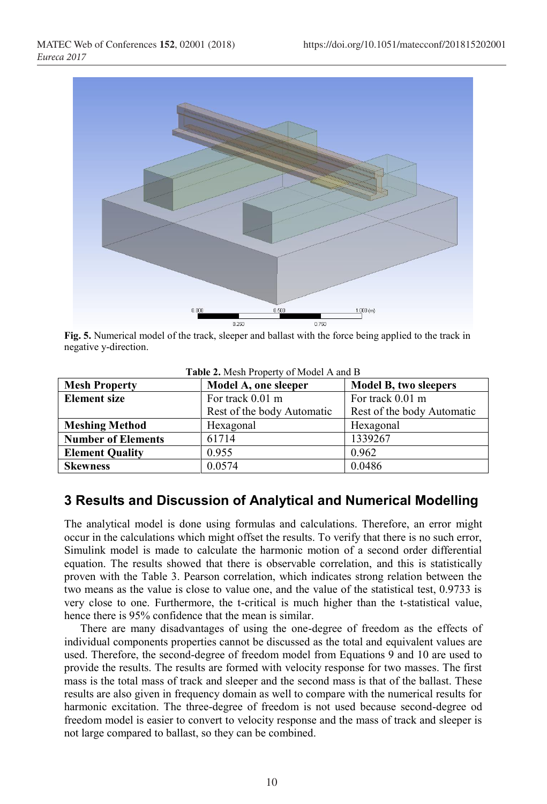

**Fig. 5.** Numerical model of the track, sleeper and ballast with the force being applied to the track in negative y-direction.

| $\frac{1}{2}$             |                                      |                            |  |  |  |
|---------------------------|--------------------------------------|----------------------------|--|--|--|
| <b>Mesh Property</b>      | Model A, one sleeper                 | Model B, two sleepers      |  |  |  |
| <b>Element</b> size       | For track 0.01 m<br>For track 0.01 m |                            |  |  |  |
|                           | Rest of the body Automatic           | Rest of the body Automatic |  |  |  |
| <b>Meshing Method</b>     | Hexagonal                            | Hexagonal                  |  |  |  |
| <b>Number of Elements</b> | 61714                                | 1339267                    |  |  |  |
| <b>Element Quality</b>    | 0.955                                | 0.962                      |  |  |  |
| <b>Skewness</b>           | 0.0574                               | 0.0486                     |  |  |  |

**Table 2.** Mesh Property of Model A and B

# **3 Results and Discussion of Analytical and Numerical Modelling**

The analytical model is done using formulas and calculations. Therefore, an error might occur in the calculations which might offset the results. To verify that there is no such error, Simulink model is made to calculate the harmonic motion of a second order differential equation. The results showed that there is observable correlation, and this is statistically proven with the Table 3. Pearson correlation, which indicates strong relation between the two means as the value is close to value one, and the value of the statistical test, 0.9733 is very close to one. Furthermore, the t-critical is much higher than the t-statistical value, hence there is 95% confidence that the mean is similar.

There are many disadvantages of using the one-degree of freedom as the effects of individual components properties cannot be discussed as the total and equivalent values are used. Therefore, the second-degree of freedom model from Equations 9 and 10 are used to provide the results. The results are formed with velocity response for two masses. The first mass is the total mass of track and sleeper and the second mass is that of the ballast. These results are also given in frequency domain as well to compare with the numerical results for harmonic excitation. The three-degree of freedom is not used because second-degree od freedom model is easier to convert to velocity response and the mass of track and sleeper is not large compared to ballast, so they can be combined.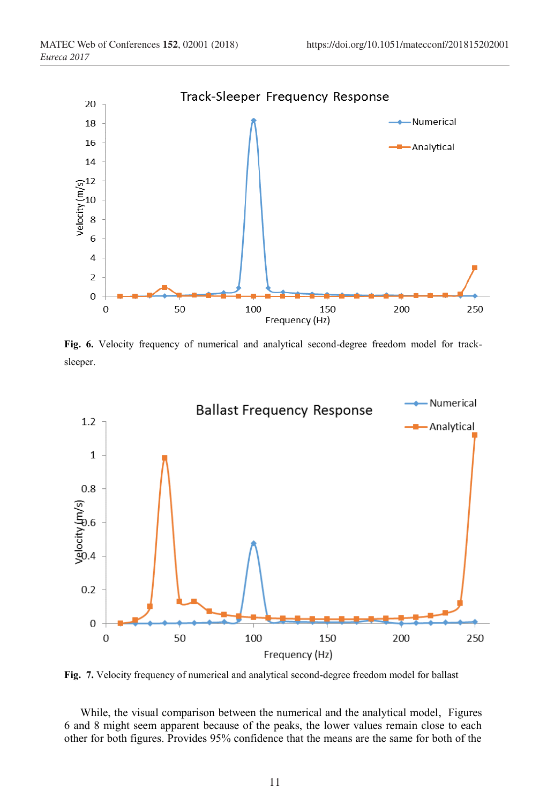

**Fig. 6.** Velocity frequency of numerical and analytical second-degree freedom model for tracksleeper.



**Fig. 7.** Velocity frequency of numerical and analytical second-degree freedom model for ballast

While, the visual comparison between the numerical and the analytical model, Figures 6 and 8 might seem apparent because of the peaks, the lower values remain close to each other for both figures. Provides 95% confidence that the means are the same for both of the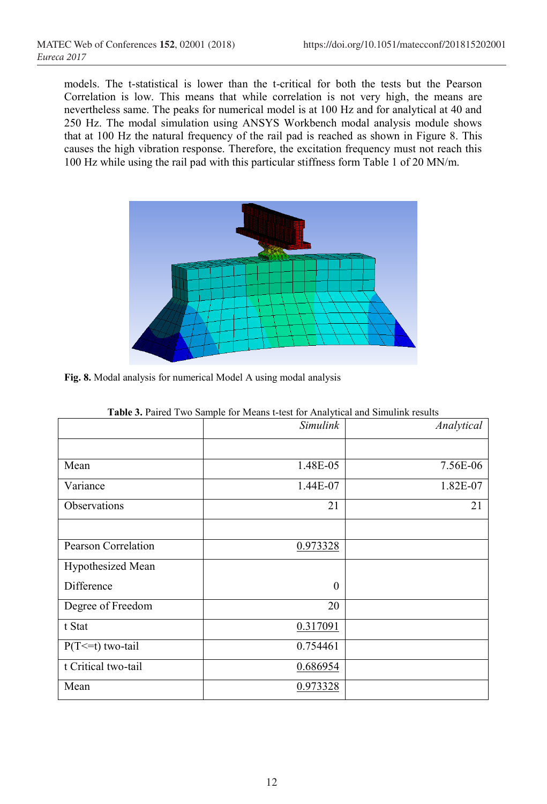models. The t-statistical is lower than the t-critical for both the tests but the Pearson Correlation is low. This means that while correlation is not very high, the means are nevertheless same. The peaks for numerical model is at 100 Hz and for analytical at 40 and 250 Hz. The modal simulation using ANSYS Workbench modal analysis module shows that at 100 Hz the natural frequency of the rail pad is reached as shown in Figure 8. This causes the high vibration response. Therefore, the excitation frequency must not reach this 100 Hz while using the rail pad with this particular stiffness form Table 1 of 20 MN/m.



**Fig. 8.** Modal analysis for numerical Model A using modal analysis

|                            | <b>TWO OF THING I</b> WO BUMPIC TOT MOUND I WON TOT THING JUNEAU MINI BILIMITIIIN TOBURG<br><b>Simulink</b> | Analytical |
|----------------------------|-------------------------------------------------------------------------------------------------------------|------------|
|                            |                                                                                                             |            |
| Mean                       | 1.48E-05                                                                                                    | 7.56E-06   |
| Variance                   | 1.44E-07                                                                                                    | 1.82E-07   |
| Observations               | 21                                                                                                          | 21         |
|                            |                                                                                                             |            |
| <b>Pearson Correlation</b> | 0.973328                                                                                                    |            |
| Hypothesized Mean          |                                                                                                             |            |
| Difference                 | $\theta$                                                                                                    |            |
| Degree of Freedom          | 20                                                                                                          |            |
| t Stat                     | 0.317091                                                                                                    |            |
| $P(T \le t)$ two-tail      | 0.754461                                                                                                    |            |
| t Critical two-tail        | 0.686954                                                                                                    |            |
| Mean                       | 0.973328                                                                                                    |            |

|  |  |  |  |  |  | <b>Table 3.</b> Paired Two Sample for Means t-test for Analytical and Simulink results |
|--|--|--|--|--|--|----------------------------------------------------------------------------------------|
|--|--|--|--|--|--|----------------------------------------------------------------------------------------|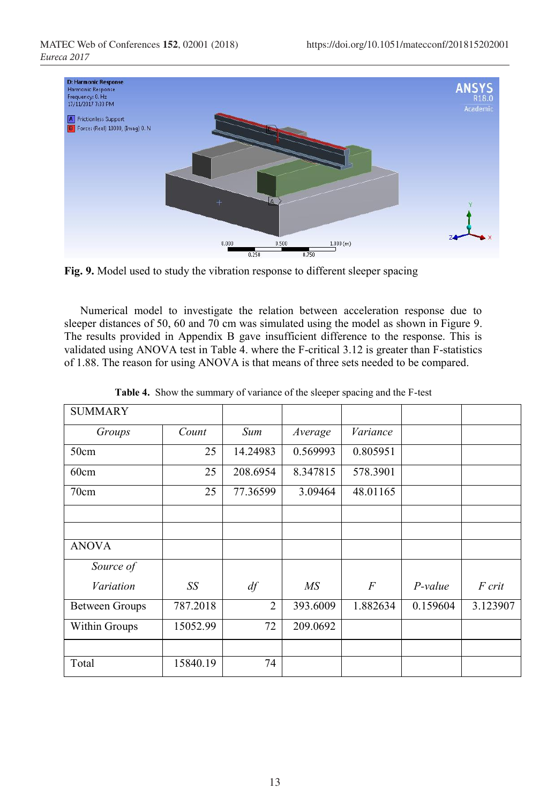

**Fig. 9.** Model used to study the vibration response to different sleeper spacing

Numerical model to investigate the relation between acceleration response due to sleeper distances of 50, 60 and 70 cm was simulated using the model as shown in Figure 9. The results provided in Appendix B gave insufficient difference to the response. This is validated using ANOVA test in Table 4. where the F-critical 3.12 is greater than F-statistics of 1.88. The reason for using ANOVA is that means of three sets needed to be compared.

| <b>SUMMARY</b>        |          |                |          |          |           |          |
|-----------------------|----------|----------------|----------|----------|-----------|----------|
| Groups                | Count    | Sum            | Average  | Variance |           |          |
| 50cm                  | 25       | 14.24983       | 0.569993 | 0.805951 |           |          |
| 60cm                  | 25       | 208.6954       | 8.347815 | 578.3901 |           |          |
| 70cm                  | 25       | 77.36599       | 3.09464  | 48.01165 |           |          |
|                       |          |                |          |          |           |          |
| <b>ANOVA</b>          |          |                |          |          |           |          |
| Source of             |          |                |          |          |           |          |
| Variation             | SS       | df             | MS       | F        | $P-value$ | F crit   |
| <b>Between Groups</b> | 787.2018 | $\overline{2}$ | 393.6009 | 1.882634 | 0.159604  | 3.123907 |
| Within Groups         | 15052.99 | 72             | 209.0692 |          |           |          |
|                       |          |                |          |          |           |          |
| Total                 | 15840.19 | 74             |          |          |           |          |

|  |  | Table 4. Show the summary of variance of the sleeper spacing and the F-test |  |  |  |
|--|--|-----------------------------------------------------------------------------|--|--|--|
|--|--|-----------------------------------------------------------------------------|--|--|--|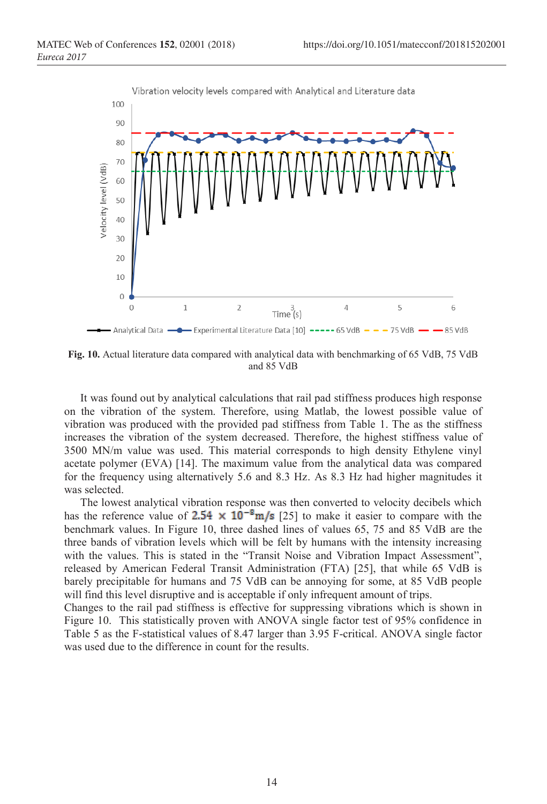

**Fig. 10.** Actual literature data compared with analytical data with benchmarking of 65 VdB, 75 VdB and 85 VdB

It was found out by analytical calculations that rail pad stiffness produces high response on the vibration of the system. Therefore, using Matlab, the lowest possible value of vibration was produced with the provided pad stiffness from Table 1. The as the stiffness increases the vibration of the system decreased. Therefore, the highest stiffness value of 3500 MN/m value was used. This material corresponds to high density Ethylene vinyl acetate polymer (EVA) [14]. The maximum value from the analytical data was compared for the frequency using alternatively 5.6 and 8.3 Hz. As 8.3 Hz had higher magnitudes it was selected.

The lowest analytical vibration response was then converted to velocity decibels which has the reference value of  $2.54 \times 10^{-8}$  m/s [25] to make it easier to compare with the benchmark values. In Figure 10, three dashed lines of values 65, 75 and 85 VdB are the three bands of vibration levels which will be felt by humans with the intensity increasing with the values. This is stated in the "Transit Noise and Vibration Impact Assessment", released by American Federal Transit Administration (FTA) [25], that while 65 VdB is barely precipitable for humans and 75 VdB can be annoying for some, at 85 VdB people will find this level disruptive and is acceptable if only infrequent amount of trips.

Changes to the rail pad stiffness is effective for suppressing vibrations which is shown in Figure 10. This statistically proven with ANOVA single factor test of 95% confidence in Table 5 as the F-statistical values of 8.47 larger than 3.95 F-critical. ANOVA single factor was used due to the difference in count for the results.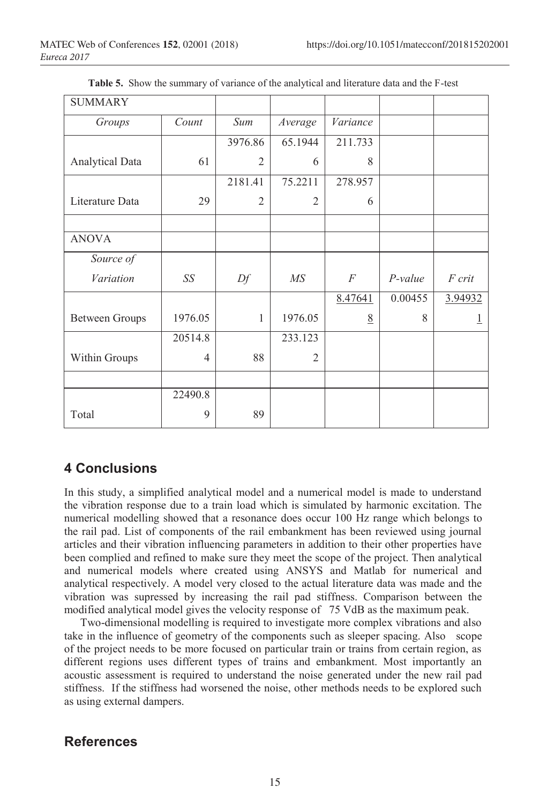| <b>SUMMARY</b>         |                |                |                |          |           |         |
|------------------------|----------------|----------------|----------------|----------|-----------|---------|
| Groups                 | Count          | Sum            | Average        | Variance |           |         |
|                        |                | 3976.86        | 65.1944        | 211.733  |           |         |
| <b>Analytical Data</b> | 61             | $\overline{2}$ | 6              | 8        |           |         |
|                        |                | 2181.41        | 75.2211        | 278.957  |           |         |
| Literature Data        | 29             | $\overline{2}$ | $\mathfrak{2}$ | 6        |           |         |
|                        |                |                |                |          |           |         |
| <b>ANOVA</b>           |                |                |                |          |           |         |
| Source of              |                |                |                |          |           |         |
| Variation              | SS             | Df             | MS             | F        | $P-value$ | F crit  |
|                        |                |                |                | 8.47641  | 0.00455   | 3.94932 |
| <b>Between Groups</b>  | 1976.05        | 1              | 1976.05        | 8        | 8         |         |
|                        | 20514.8        |                | 233.123        |          |           |         |
| Within Groups          | $\overline{4}$ | 88             | $\overline{2}$ |          |           |         |
|                        |                |                |                |          |           |         |
|                        | 22490.8        |                |                |          |           |         |
| Total                  | 9              | 89             |                |          |           |         |

**Table 5.** Show the summary of variance of the analytical and literature data and the F-test

# **4 Conclusions**

In this study, a simplified analytical model and a numerical model is made to understand the vibration response due to a train load which is simulated by harmonic excitation. The numerical modelling showed that a resonance does occur 100 Hz range which belongs to the rail pad. List of components of the rail embankment has been reviewed using journal articles and their vibration influencing parameters in addition to their other properties have been complied and refined to make sure they meet the scope of the project. Then analytical and numerical models where created using ANSYS and Matlab for numerical and analytical respectively. A model very closed to the actual literature data was made and the vibration was supressed by increasing the rail pad stiffness. Comparison between the modified analytical model gives the velocity response of 75 VdB as the maximum peak.

Two-dimensional modelling is required to investigate more complex vibrations and also take in the influence of geometry of the components such as sleeper spacing. Also scope of the project needs to be more focused on particular train or trains from certain region, as different regions uses different types of trains and embankment. Most importantly an acoustic assessment is required to understand the noise generated under the new rail pad stiffness. If the stiffness had worsened the noise, other methods needs to be explored such as using external dampers.

# **References**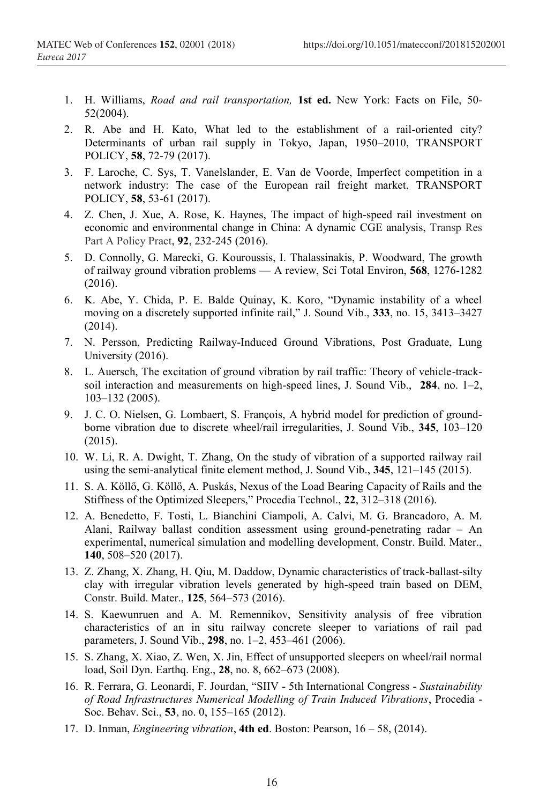- 1. H. Williams, *Road and rail transportation,* **1st ed.** New York: Facts on File, 50- 52(2004).
- 2. R. Abe and H. Kato, What led to the establishment of a rail-oriented city? Determinants of urban rail supply in Tokyo, Japan, 1950–2010, TRANSPORT POLICY, **58**, 72-79 (2017).
- 3. F. Laroche, C. Sys, T. Vanelslander, E. Van de Voorde, Imperfect competition in a network industry: The case of the European rail freight market, TRANSPORT POLICY, **58**, 53-61 (2017).
- 4. Z. Chen, J. Xue, A. Rose, K. Haynes, The impact of high-speed rail investment on economic and environmental change in China: A dynamic CGE analysis, Transp Res Part A Policy Pract, **92**, 232-245 (2016).
- 5. D. Connolly, G. Marecki, G. Kouroussis, I. Thalassinakis, P. Woodward, The growth of railway ground vibration problems — A review, Sci Total Environ, **568**, 1276-1282 (2016).
- 6. K. Abe, Y. Chida, P. E. Balde Quinay, K. Koro, "Dynamic instability of a wheel moving on a discretely supported infinite rail," J. Sound Vib., **333**, no. 15, 3413–3427 (2014).
- 7. N. Persson, Predicting Railway-Induced Ground Vibrations, Post Graduate, Lung University (2016).
- 8. L. Auersch, The excitation of ground vibration by rail traffic: Theory of vehicle-tracksoil interaction and measurements on high-speed lines, J. Sound Vib., **284**, no. 1–2, 103–132 (2005).
- 9. J. C. O. Nielsen, G. Lombaert, S. François, A hybrid model for prediction of groundborne vibration due to discrete wheel/rail irregularities, J. Sound Vib., **345**, 103–120 (2015).
- 10. W. Li, R. A. Dwight, T. Zhang, On the study of vibration of a supported railway rail using the semi-analytical finite element method, J. Sound Vib., **345**, 121–145 (2015).
- 11. S. A. Köllő, G. Köllő, A. Puskás, Nexus of the Load Bearing Capacity of Rails and the Stiffness of the Optimized Sleepers," Procedia Technol., **22**, 312–318 (2016).
- 12. A. Benedetto, F. Tosti, L. Bianchini Ciampoli, A. Calvi, M. G. Brancadoro, A. M. Alani, Railway ballast condition assessment using ground-penetrating radar – An experimental, numerical simulation and modelling development, Constr. Build. Mater., **140**, 508–520 (2017).
- 13. Z. Zhang, X. Zhang, H. Qiu, M. Daddow, Dynamic characteristics of track-ballast-silty clay with irregular vibration levels generated by high-speed train based on DEM, Constr. Build. Mater., **125**, 564–573 (2016).
- 14. S. Kaewunruen and A. M. Remennikov, Sensitivity analysis of free vibration characteristics of an in situ railway concrete sleeper to variations of rail pad parameters, J. Sound Vib., **298**, no. 1–2, 453–461 (2006).
- 15. S. Zhang, X. Xiao, Z. Wen, X. Jin, Effect of unsupported sleepers on wheel/rail normal load, Soil Dyn. Earthq. Eng., **28**, no. 8, 662–673 (2008).
- 16. R. Ferrara, G. Leonardi, F. Jourdan, "SIIV 5th International Congress *Sustainability of Road Infrastructures Numerical Modelling of Train Induced Vibrations*, Procedia - Soc. Behav. Sci., **53**, no. 0, 155–165 (2012).
- 17. D. Inman, *Engineering vibration*, **4th ed**. Boston: Pearson, 16 58, (2014).